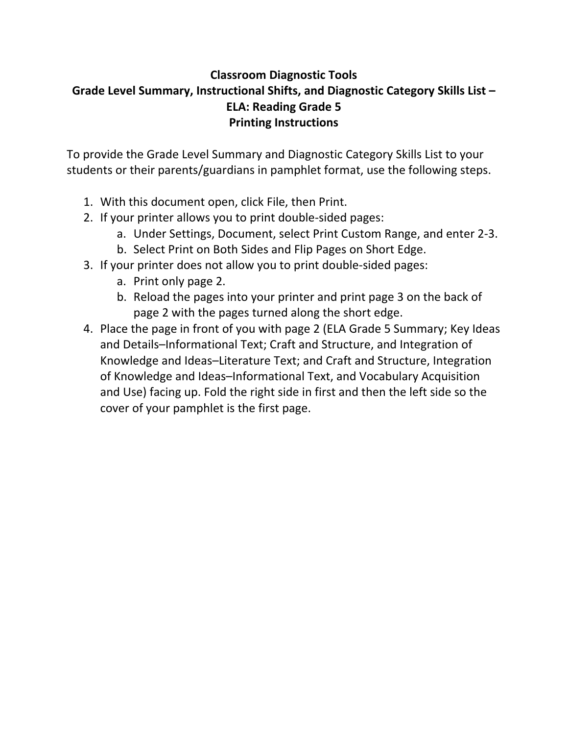# **Classroom Diagnostic Tools Grade Level Summary, Instructional Shifts, and Diagnostic Category Skills List – ELA: Reading Grade 5 Printing Instructions**

To provide the Grade Level Summary and Diagnostic Category Skills List to your students or their parents/guardians in pamphlet format, use the following steps.

- 1. With this document open, click File, then Print.
- 2. If your printer allows you to print double‐sided pages:
	- a. Under Settings, Document, select Print Custom Range, and enter 2‐3.
	- b. Select Print on Both Sides and Flip Pages on Short Edge.
- 3. If your printer does not allow you to print double‐sided pages:
	- a. Print only page 2.
	- b. Reload the pages into your printer and print page 3 on the back of page 2 with the pages turned along the short edge.
- 4. Place the page in front of you with page 2 (ELA Grade 5 Summary; Key Ideas and Details–Informational Text; Craft and Structure, and Integration of Knowledge and Ideas–Literature Text; and Craft and Structure, Integration of Knowledge and Ideas–Informational Text, and Vocabulary Acquisition and Use) facing up. Fold the right side in first and then the left side so the cover of your pamphlet is the first page.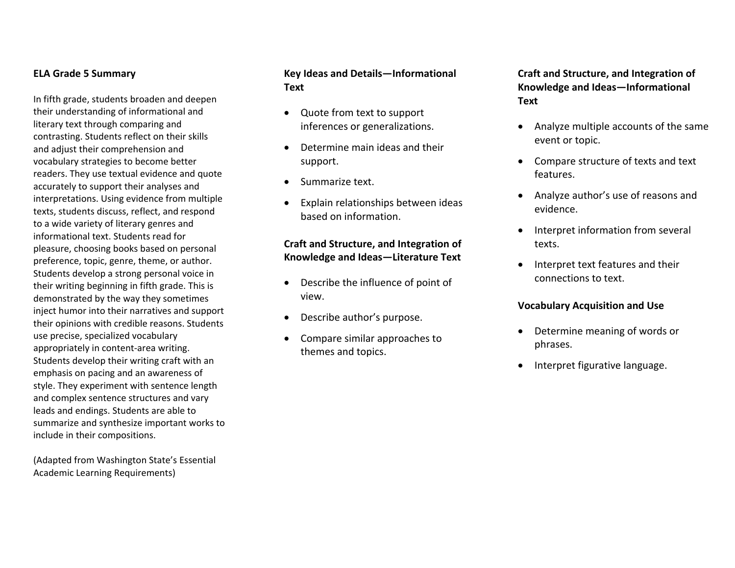#### **ELA Grade 5 Summary**

In fifth grade, students broaden and deepen their understanding of informational and literary text through comparing and contrasting. Students reflect on their skills and adjust their comprehension and vocabulary strategies to become better readers. They use textual evidence and quote accurately to support their analyses and interpretations. Using evidence from multiple texts, students discuss, reflect, and respond to <sup>a</sup> wide variety of literary genres and informational text. Students read for pleasure, choosing books based on personal preference, topic, genre, theme, or author. Students develop <sup>a</sup> strong personal voice in their writing beginning in fifth grade. This is demonstrated by the way they sometimes inject humor into their narratives and support their opinions with credible reasons. Students use precise, specialized vocabulary appropriately in content‐area writing. Students develop their writing craft with an emphasis on pacing and an awareness of style. They experiment with sentence length and complex sentence structures and vary leads and endings. Students are able to summarize and synthesize important works to include in their compositions.

(Adapted from Washington State's Essential Academic Learning Requirements)

#### **Key Ideas and Details—Informational Text**

- $\bullet$  Quote from text to support inferences or generalizations.
- $\bullet$  Determine main ideas and their support.
- . • Summarize text.
- $\bullet$  Explain relationships between ideas based on information.

#### **Craft and Structure, and Integration of Knowledge and Ideas—Literature Text**

- Describe the influence of point of view.
- $\bullet$ Describe author's purpose.
- $\bullet$  Compare similar approaches to themes and topics.

**Craft and Structure, and Integration of Knowledge and Ideas—Informational Text**

- . Analyze multiple accounts of the same event or topic.
- Compare structure of texts and text features.
- Analyze author's use of reasons and evidence.
- . Interpret information from several texts.
- Interpret text features and their connections to text.

#### **Vocabulary Acquisition and Use**

- . Determine meaning of words or phrases.
- 0 Interpret figurative language.